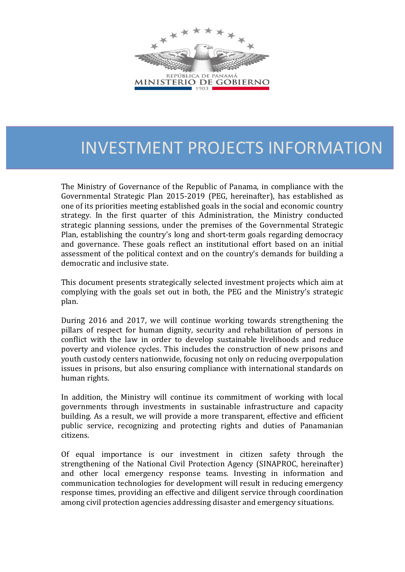

# INVESTMENT PROJECTS INFORMATION

The Ministry of Governance of the Republic of Panama, in compliance with the Governmental Strategic Plan 2015-2019 (PEG, hereinafter), has established as one of its priorities meeting established goals in the social and economic country strategy. In the first quarter of this Administration, the Ministry conducted strategic planning sessions, under the premises of the Governmental Strategic Plan, establishing the country's long and short-term goals regarding democracy and governance. These goals reflect an institutional effort based on an initial assessment of the political context and on the country's demands for building a democratic and inclusive state.

This document presents strategically selected investment projects which aim at complying with the goals set out in both, the PEG and the Ministry's strategic plan.

During 2016 and 2017, we will continue working towards strengthening the pillars of respect for human dignity, security and rehabilitation of persons in conflict with the law in order to develop sustainable livelihoods and reduce poverty and violence cycles. This includes the construction of new prisons and youth custody centers nationwide, focusing not only on reducing overpopulation issues in prisons, but also ensuring compliance with international standards on human rights.

In addition, the Ministry will continue its commitment of working with local governments through investments in sustainable infrastructure and capacity building. As a result, we will provide a more transparent, effective and efficient public service, recognizing and protecting rights and duties of Panamanian citizens.

Of equal importance is our investment in citizen safety through the strengthening of the National Civil Protection Agency (SINAPROC, hereinafter) and other local emergency response teams. Investing in information and communication technologies for development will result in reducing emergency response times, providing an effective and diligent service through coordination among civil protection agencies addressing disaster and emergency situations.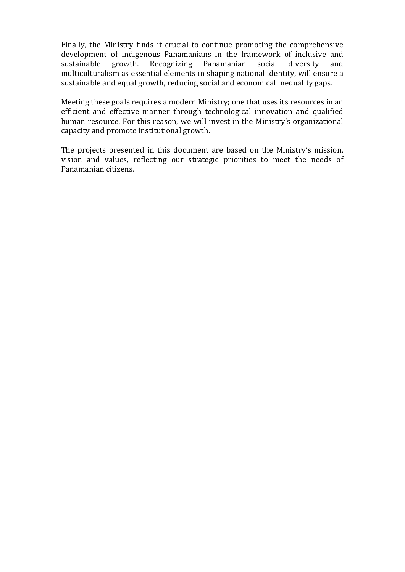Finally, the Ministry finds it crucial to continue promoting the comprehensive development of indigenous Panamanians in the framework of inclusive and sustainable growth. Recognizing Panamanian social diversity and multiculturalism as essential elements in shaping national identity, will ensure a sustainable and equal growth, reducing social and economical inequality gaps.

Meeting these goals requires a modern Ministry; one that uses its resources in an efficient and effective manner through technological innovation and qualified human resource. For this reason, we will invest in the Ministry's organizational capacity and promote institutional growth.

The projects presented in this document are based on the Ministry's mission, vision and values, reflecting our strategic priorities to meet the needs of Panamanian citizens.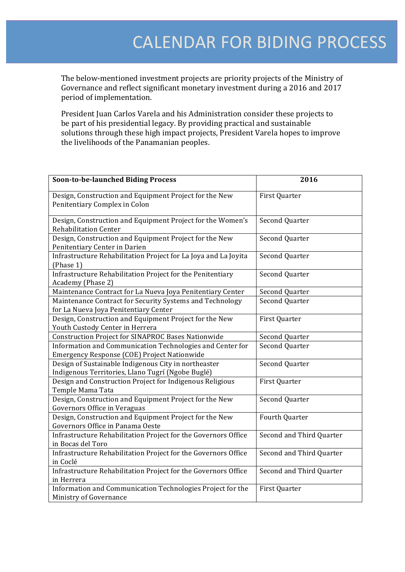The below-mentioned investment projects are priority projects of the Ministry of Governance and reflect significant monetary investment during a 2016 and 2017 period of implementation.

President Juan Carlos Varela and his Administration consider these projects to be part of his presidential legacy. By providing practical and sustainable solutions through these high impact projects, President Varela hopes to improve the livelihoods of the Panamanian peoples.

| <b>Soon-to-be-launched Biding Process</b>                                                                 | 2016                     |
|-----------------------------------------------------------------------------------------------------------|--------------------------|
| Design, Construction and Equipment Project for the New<br>Penitentiary Complex in Colon                   | First Quarter            |
| Design, Construction and Equipment Project for the Women's<br><b>Rehabilitation Center</b>                | <b>Second Quarter</b>    |
| Design, Construction and Equipment Project for the New<br>Penitentiary Center in Darien                   | Second Quarter           |
| Infrastructure Rehabilitation Project for La Joya and La Joyita<br>(Phase 1)                              | Second Quarter           |
| Infrastructure Rehabilitation Project for the Penitentiary<br>Academy (Phase 2)                           | Second Quarter           |
| Maintenance Contract for La Nueva Joya Penitentiary Center                                                | Second Quarter           |
| Maintenance Contract for Security Systems and Technology<br>for La Nueva Joya Penitentiary Center         | <b>Second Quarter</b>    |
| Design, Construction and Equipment Project for the New<br>Youth Custody Center in Herrera                 | First Quarter            |
| <b>Construction Project for SINAPROC Bases Nationwide</b>                                                 | Second Quarter           |
| Information and Communication Technologies and Center for<br>Emergency Response (COE) Project Nationwide  | Second Quarter           |
| Design of Sustainable Indigenous City in northeaster<br>Indigenous Territories, Llano Tugrí (Ngobe Buglé) | Second Quarter           |
| Design and Construction Project for Indigenous Religious<br>Temple Mama Tata                              | First Quarter            |
| Design, Construction and Equipment Project for the New<br>Governors Office in Veraguas                    | Second Quarter           |
| Design, Construction and Equipment Project for the New<br>Governors Office in Panama Oeste                | Fourth Quarter           |
| Infrastructure Rehabilitation Project for the Governors Office<br>in Bocas del Toro                       | Second and Third Quarter |
| Infrastructure Rehabilitation Project for the Governors Office<br>in Coclé                                | Second and Third Quarter |
| Infrastructure Rehabilitation Project for the Governors Office<br>in Herrera                              | Second and Third Quarter |
| Information and Communication Technologies Project for the<br>Ministry of Governance                      | First Quarter            |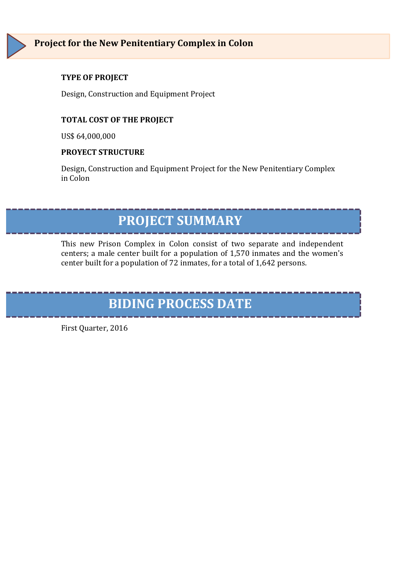Design, Construction and Equipment Project

#### **TOTAL COST OF THE PROJECT**

US\$ 64,000,000

#### **PROYECT STRUCTURE**

Design, Construction and Equipment Project for the New Penitentiary Complex in Colon

### **PROJECT SUMMARY**

This new Prison Complex in Colon consist of two separate and independent centers; a male center built for a population of 1,570 inmates and the women's center built for a population of 72 inmates, for a total of 1,642 persons.

# **BIDING PROCESS DATE**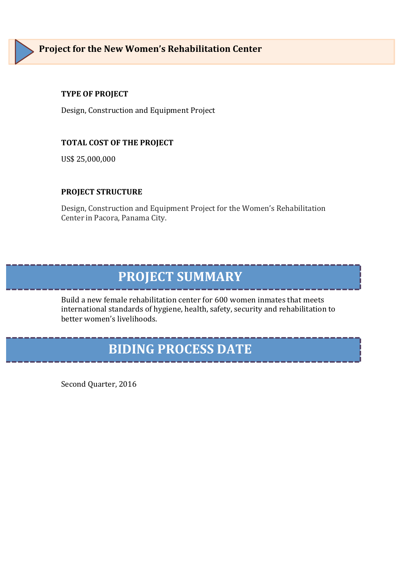

Design, Construction and Equipment Project

#### **TOTAL COST OF THE PROJECT**

US\$ 25,000,000

#### **PROJECT STRUCTURE**

Design, Construction and Equipment Project for the Women's Rehabilitation Center in Pacora, Panama City.

### **PROJECT SUMMARY**

Build a new female rehabilitation center for 600 women inmates that meets international standards of hygiene, health, safety, security and rehabilitation to better women's livelihoods.

# **BIDING PROCESS DATE**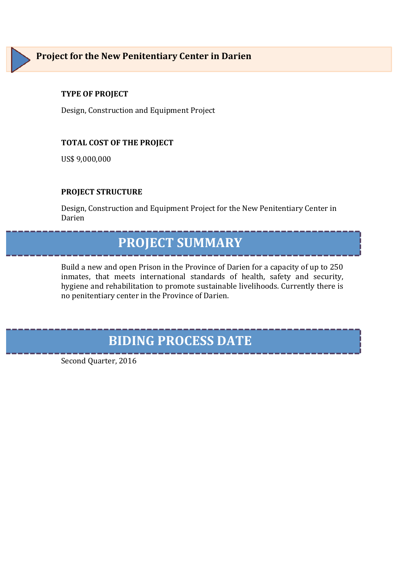Design, Construction and Equipment Project

#### **TOTAL COST OF THE PROJECT**

US\$ 9,000,000

#### **PROJECT STRUCTURE**

Design, Construction and Equipment Project for the New Penitentiary Center in Darien

# **PROJECT SUMMARY**

Build a new and open Prison in the Province of Darien for a capacity of up to 250 inmates, that meets international standards of health, safety and security, hygiene and rehabilitation to promote sustainable livelihoods. Currently there is no penitentiary center in the Province of Darien.

### **BIDING PROCESS DATE**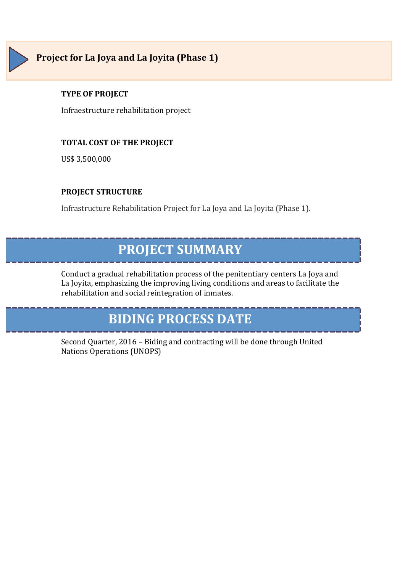

Infraestructure rehabilitation project

#### **TOTAL COST OF THE PROJECT**

US\$ 3,500,000

#### **PROJECT STRUCTURE**

Infrastructure Rehabilitation Project for La Joya and La Joyita (Phase 1).

### **PROJECT SUMMARY**

Conduct a gradual rehabilitation process of the penitentiary centers La Joya and La Joyita, emphasizing the improving living conditions and areas to facilitate the rehabilitation and social reintegration of inmates.

## **BIDING PROCESS DATE**

Second Quarter, 2016 - Biding and contracting will be done through United Nations Operations (UNOPS)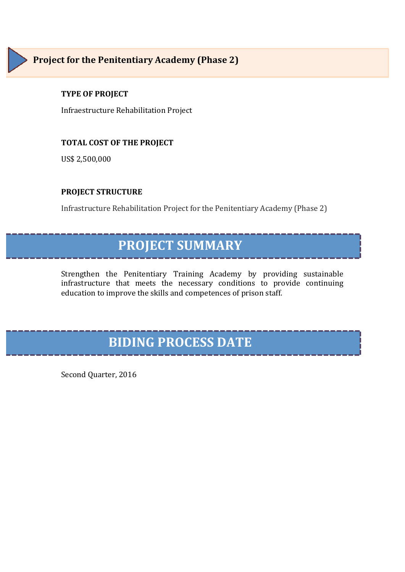Infraestructure Rehabilitation Project

#### **TOTAL COST OF THE PROJECT**

US\$ 2,500,000

#### **PROJECT STRUCTURE**

Infrastructure Rehabilitation Project for the Penitentiary Academy (Phase 2)

### **PROJECT SUMMARY**

Strengthen the Penitentiary Training Academy by providing sustainable infrastructure that meets the necessary conditions to provide continuing education to improve the skills and competences of prison staff.

# **BIDING PROCESS DATE**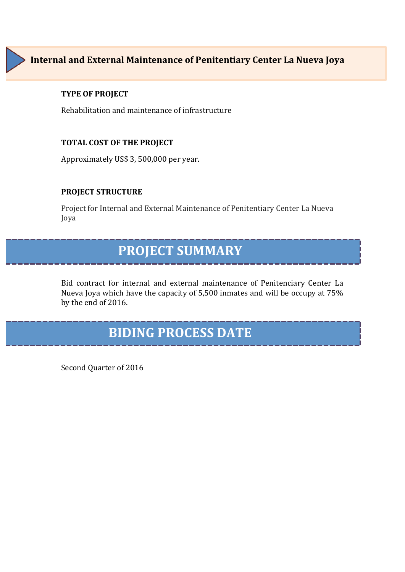### **Internal and External Maintenance of Penitentiary Center La Nueva Joya**

#### **TYPE OF PROJECT**

Rehabilitation and maintenance of infrastructure

#### **TOTAL COST OF THE PROJECT**

Approximately US\$ 3, 500,000 per year.

#### **PROJECT STRUCTURE**

Project for Internal and External Maintenance of Penitentiary Center La Nueva Joya 

### **PROJECT SUMMARY**

Bid contract for internal and external maintenance of Penitenciary Center La Nueva Joya which have the capacity of 5,500 inmates and will be occupy at 75% by the end of 2016.

### **BIDING PROCESS DATE**

Second Quarter of 2016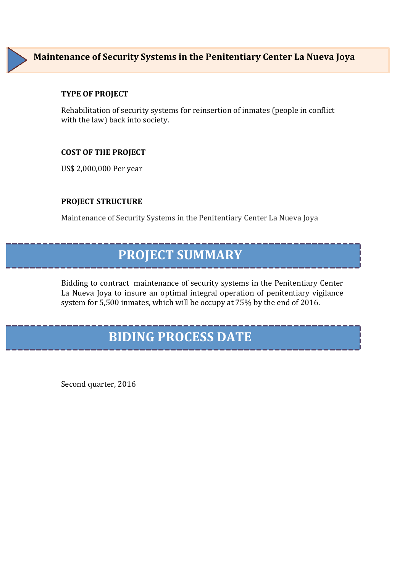### **Maintenance of Security Systems in the Penitentiary Center La Nueva Joya**

#### **TYPE OF PROJECT**

Rehabilitation of security systems for reinsertion of inmates (people in conflict with the law) back into society.

#### **COST OF THE PROJECT**

US\$ 2,000,000 Per year

#### **PROJECT STRUCTURE**

Maintenance of Security Systems in the Penitentiary Center La Nueva Joya

### **PROJECT SUMMARY**

Bidding to contract maintenance of security systems in the Penitentiary Center La Nueva Joya to insure an optimal integral operation of penitentiary vigilance system for 5,500 inmates, which will be occupy at 75% by the end of 2016.

### **BIDING PROCESS DATE**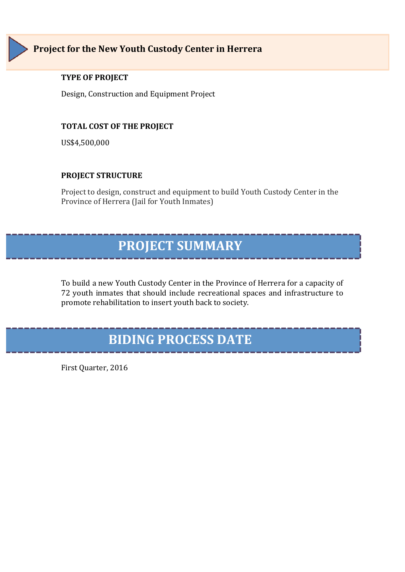

Design, Construction and Equipment Project

#### **TOTAL COST OF THE PROJECT**

US\$4,500,000

#### **PROJECT STRUCTURE**

Project to design, construct and equipment to build Youth Custody Center in the Province of Herrera (Jail for Youth Inmates)

### **PROJECT SUMMARY**

To build a new Youth Custody Center in the Province of Herrera for a capacity of 72 youth inmates that should include recreational spaces and infrastructure to promote rehabilitation to insert youth back to society.

### **BIDING PROCESS DATE**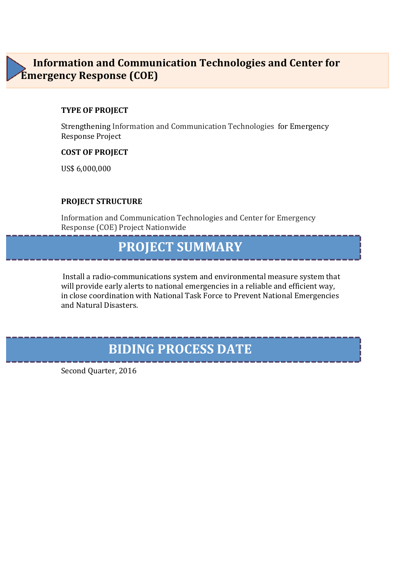### **Information and Communication Technologies and Center for Emergency Response (COE)**

#### **TYPE OF PROJECT**

Strengthening Information and Communication Technologies for Emergency Response Project

#### **COST OF PROJECT**

US\$ 6,000,000

#### **PROJECT STRUCTURE**

Information and Communication Technologies and Center for Emergency Response (COE) Project Nationwide

### **PROJECT SUMMARY**

Install a radio-communications system and environmental measure system that will provide early alerts to national emergencies in a reliable and efficient way, in close coordination with National Task Force to Prevent National Emergencies and Natural Disasters.

### **BIDING PROCESS DATE**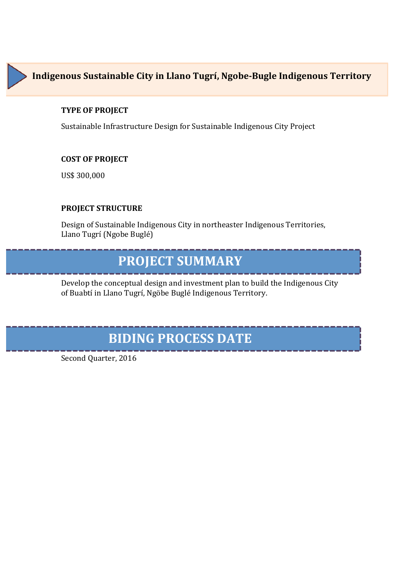

Sustainable Infrastructure Design for Sustainable Indigenous City Project

#### **COST OF PROJECT**

US\$ 300,000

#### **PROJECT STRUCTURE**

Design of Sustainable Indigenous City in northeaster Indigenous Territories, Llano Tugrí (Ngobe Buglé)

### **PROJECT SUMMARY**

Develop the conceptual design and investment plan to build the Indigenous City of Buabtí in Llano Tugrí, Ngöbe Buglé Indigenous Territory.

### **BIDING PROCESS DATE**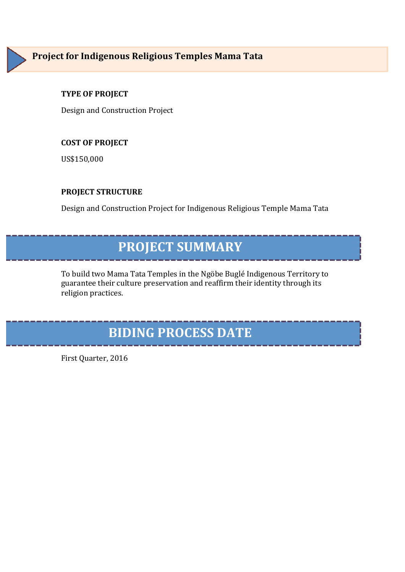

Design and Construction Project

#### **COST OF PROJECT**

US\$150,000

#### **PROJECT STRUCTURE**

Design and Construction Project for Indigenous Religious Temple Mama Tata

# **PROJECT SUMMARY**

To build two Mama Tata Temples in the Ngöbe Buglé Indigenous Territory to guarantee their culture preservation and reaffirm their identity through its religion practices.

### **BIDING PROCESS DATE**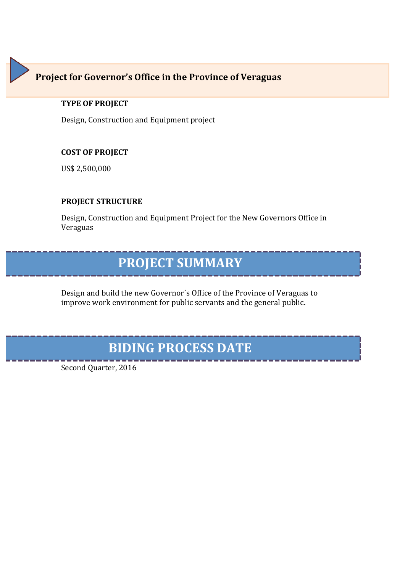### **Project for Governor's Office in the Province of Veraguas**

#### **TYPE OF PROJECT**

Design, Construction and Equipment project

#### **COST OF PROJECT**

US\$ 2,500,000

#### **PROJECT STRUCTURE**

Design, Construction and Equipment Project for the New Governors Office in Veraguas

### **PROJECT SUMMARY**

Design and build the new Governor's Office of the Province of Veraguas to improve work environment for public servants and the general public.

# **BIDING PROCESS DATE**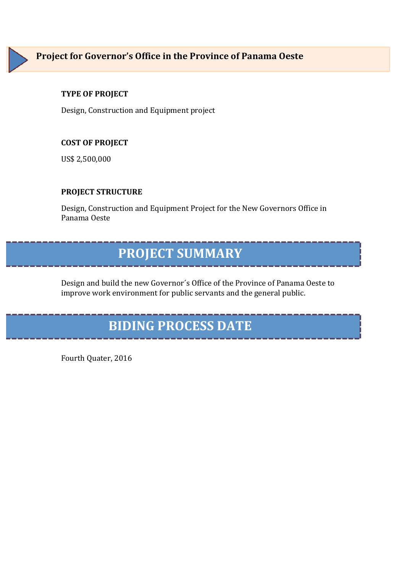

Design, Construction and Equipment project

#### **COST OF PROJECT**

US\$ 2,500,000

#### **PROJECT STRUCTURE**

Design, Construction and Equipment Project for the New Governors Office in Panama Oeste

### **PROJECT SUMMARY**

Design and build the new Governor's Office of the Province of Panama Oeste to improve work environment for public servants and the general public.

# **BIDING PROCESS DATE**

Fourth Quater, 2016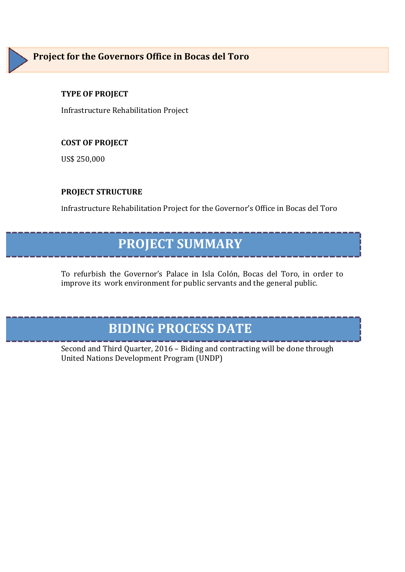Infrastructure Rehabilitation Project 

#### **COST OF PROJECT**

US\$ 250,000

#### **PROJECT STRUCTURE**

Infrastructure Rehabilitation Project for the Governor's Office in Bocas del Toro

### **PROJECT SUMMARY**

To refurbish the Governor's Palace in Isla Colón, Bocas del Toro, in order to improve its work environment for public servants and the general public.

### **BIDING PROCESS DATE**

Second and Third Quarter, 2016 - Biding and contracting will be done through United Nations Development Program (UNDP)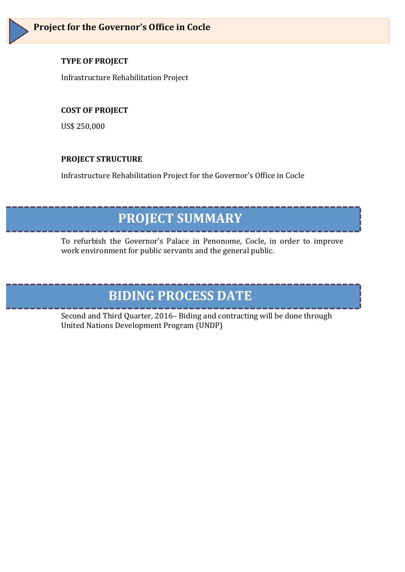Infrastructure Rehabilitation Project 

#### **COST OF PROJECT**

US\$ 250,000

#### **PROJECT STRUCTURE**

Infrastructure Rehabilitation Project for the Governor's Office in Cocle

### **PROJECT SUMMARY**

To refurbish the Governor's Palace in Penonome, Cocle, in order to improve work environment for public servants and the general public.

# **BIDING PROCESS DATE**

Second and Third Quarter, 2016– Biding and contracting will be done through United Nations Development Program (UNDP)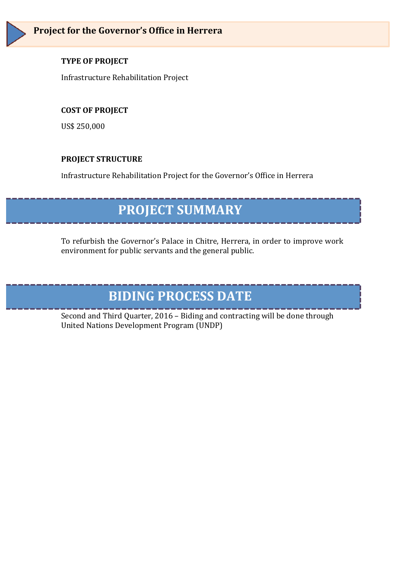Infrastructure Rehabilitation Project 

#### **COST OF PROJECT**

US\$ 250,000

#### **PROJECT STRUCTURE**

Infrastructure Rehabilitation Project for the Governor's Office in Herrera

# **PROJECT SUMMARY**

To refurbish the Governor's Palace in Chitre, Herrera, in order to improve work environment for public servants and the general public.

# **BIDING PROCESS DATE**

Second and Third Quarter, 2016 - Biding and contracting will be done through United Nations Development Program (UNDP)